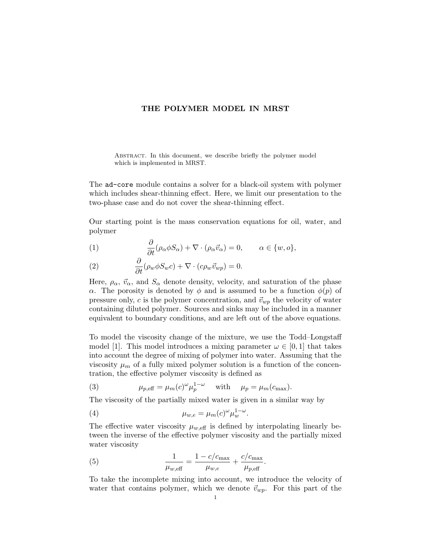## THE POLYMER MODEL IN MRST

ABSTRACT. In this document, we describe briefly the polymer model which is implemented in MRST.

The ad-core module contains a solver for a black-oil system with polymer which includes shear-thinning effect. Here, we limit our presentation to the two-phase case and do not cover the shear-thinning effect.

Our starting point is the mass conservation equations for oil, water, and polymer

(1) 
$$
\frac{\partial}{\partial t} (\rho_{\alpha} \phi S_{\alpha}) + \nabla \cdot (\rho_{\alpha} \vec{v}_{\alpha}) = 0, \qquad \alpha \in \{w, o\},
$$

(2) 
$$
\frac{\partial}{\partial t} (\rho_w \phi S_w c) + \nabla \cdot (c \rho_w \vec{v}_{wp}) = 0.
$$

Here,  $\rho_{\alpha}$ ,  $\vec{v}_{\alpha}$ , and  $S_{\alpha}$  denote density, velocity, and saturation of the phase α. The porosity is denoted by  $\phi$  and is assumed to be a function  $\phi(p)$  of pressure only, c is the polymer concentration, and  $\vec{v}_{wp}$  the velocity of water containing diluted polymer. Sources and sinks may be included in a manner equivalent to boundary conditions, and are left out of the above equations.

To model the viscosity change of the mixture, we use the Todd–Longstaff model [1]. This model introduces a mixing parameter  $\omega \in [0, 1]$  that takes into account the degree of mixing of polymer into water. Assuming that the viscosity  $\mu_m$  of a fully mixed polymer solution is a function of the concentration, the effective polymer viscosity is defined as

(3) 
$$
\mu_{p,\text{eff}} = \mu_m(c)^{\omega} \mu_p^{1-\omega} \quad \text{with} \quad \mu_p = \mu_m(c_{\text{max}}).
$$

The viscosity of the partially mixed water is given in a similar way by

(4) 
$$
\mu_{w,e} = \mu_m(c)^{\omega} \mu_w^{1-\omega}.
$$

The effective water viscosity  $\mu_{w,\text{eff}}$  is defined by interpolating linearly between the inverse of the effective polymer viscosity and the partially mixed water viscosity

(5) 
$$
\frac{1}{\mu_{w,\text{eff}}} = \frac{1 - c/c_{\text{max}}}{\mu_{w,e}} + \frac{c/c_{\text{max}}}{\mu_{p,\text{eff}}}.
$$

To take the incomplete mixing into account, we introduce the velocity of water that contains polymer, which we denote  $\vec{v}_{wp}$ . For this part of the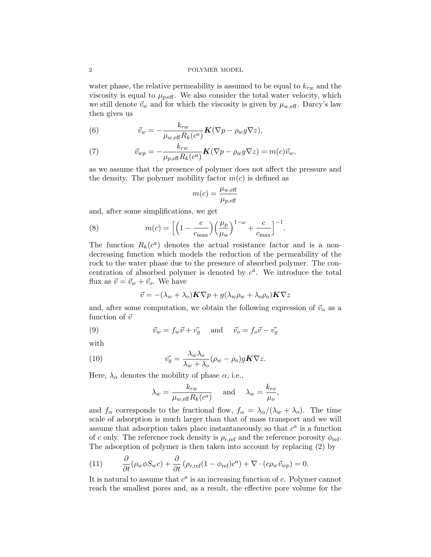## 2 POLYMER MODEL

water phase, the relative permeability is assumed to be equal to  $k_{rw}$  and the viscosity is equal to  $\mu_{p,\text{eff}}$ . We also consider the total water velocity, which we still denote  $\vec{v}_w$  and for which the viscosity is given by  $\mu_{w,\text{eff}}$ . Darcy's law then gives us

(6) 
$$
\vec{v}_w = -\frac{k_{rw}}{\mu_{w,\text{eff}}R_k(c^a)}\mathbf{K}(\nabla p - \rho_w g \nabla z),
$$

(7) 
$$
\vec{v}_{wp} = -\frac{k_{rw}}{\mu_{p,\text{eff}} R_k(c^a)} \mathbf{K} (\nabla p - \rho_w g \nabla z) = m(c) \vec{v}_w,
$$

as we assume that the presence of polymer does not affect the pressure and the density. The polymer mobility factor  $m(c)$  is defined as

$$
m(c) = \frac{\mu_{w,\text{eff}}}{\mu_{p,\text{eff}}}
$$

and, after some simplifications, we get

(8) 
$$
m(c) = \left[ \left( 1 - \frac{c}{c_{\text{max}}} \right) \left( \frac{\mu_p}{\mu_w} \right)^{1 - \omega} + \frac{c}{c_{\text{max}}} \right]^{-1}.
$$

The function  $R_k(c^a)$  denotes the actual resistance factor and is a nondecreasing function which models the reduction of the permeability of the rock to the water phase due to the presence of absorbed polymer. The concentration of absorbed polymer is denoted by  $c^a$ . We introduce the total flux as  $\vec{v} = \vec{v}_w + \vec{v}_o$ . We have

$$
\vec{v} = -(\lambda_w + \lambda_o)\mathbf{K}\nabla p + g(\lambda_w \rho_w + \lambda_o \rho_o)\mathbf{K}\nabla z
$$

and, after some computation, we obtain the following expression of  $\vec{v}_{\alpha}$  as a function of  $\vec{v}$ 

(9) 
$$
\vec{v}_w = f_w \vec{v} + \vec{v_g} \quad \text{and} \quad \vec{v}_o = f_o \vec{v} - \vec{v_g}
$$

with

(10) 
$$
\vec{v_g} = \frac{\lambda_w \lambda_o}{\lambda_w + \lambda_o} (\rho_w - \rho_o) g \mathbf{K} \nabla z.
$$

Here,  $\lambda_{\alpha}$  denotes the mobility of phase  $\alpha$ , i.e.,

$$
\lambda_w = \frac{k_{rw}}{\mu_{w, \text{eff}} R_k(c^a)}
$$
 and  $\lambda_w = \frac{k_{ro}}{\mu_o}$ ,

and  $f_{\alpha}$  corresponds to the fractional flow,  $f_{\alpha} = \lambda_{\alpha}/(\lambda_w + \lambda_o)$ . The time scale of adsorption is much larger than that of mass transport and we will assume that adsorption takes place instantaneously so that  $c^a$  is a function of c only. The reference rock density is  $\rho_{r,\text{ref}}$  and the reference porosity  $\phi_{\text{ref}}$ . The adsorption of polymer is then taken into account by replacing (2) by

(11) 
$$
\frac{\partial}{\partial t}(\rho_w \phi S_w c) + \frac{\partial}{\partial t}(\rho_{r,ref}(1-\phi_{ref})c^a) + \nabla \cdot (c\rho_w \vec{v}_{wp}) = 0.
$$

It is natural to assume that  $c^a$  is an increasing function of  $c$ . Polymer cannot reach the smallest pores and, as a result, the effective pore volume for the